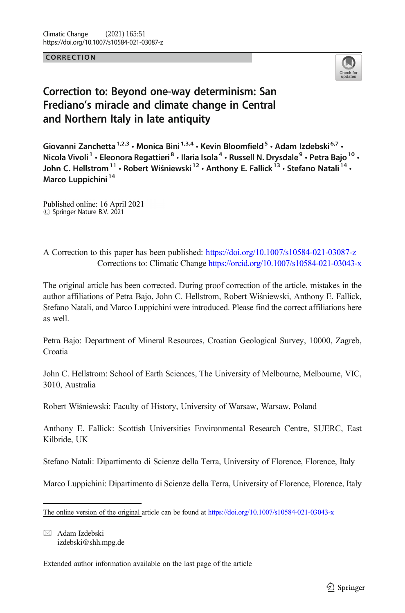**CORRECTION** 



## Correction to: Beyond one-way determinism: San Frediano's miracle and climate change in Central and Northern Italy in late antiquity

Giovanni Zanchetta<sup>1,2,3</sup> · Monica Bini<sup>1,3,4</sup> · Kevin Bloomfield<sup>5</sup> · Adam Izdebski<sup>6,7</sup> · Nicola Vivoli<sup>1</sup> · Eleonora Regattieri<sup>8</sup> · Ilaria Isola<sup>4</sup> · Russell N. Drysdale<sup>9</sup> · Petra Bajo<sup>10</sup> · John C. Hellstrom<sup>11</sup> · Robert Wiśniewski<sup>12</sup> · Anthony E. Fallick<sup>13</sup> · Stefano Natali<sup>14</sup> · Marco Luppichini<sup>14</sup>

Published online: 16 April 2021  $\circledcirc$  Springer Nature B.V. 2021

A Correction to this paper has been published: <https://doi.org/10.1007/s10584-021-03087-z> Corrections to: Climatic Change [https://orcid.org/10.1007/s10584-021-03043-x](http://dx.doi.org/10.1007/s10584-021-03043-x)

The original article has been corrected. During proof correction of the article, mistakes in the author affiliations of Petra Bajo, John C. Hellstrom, Robert Wiśniewski, Anthony E. Fallick, Stefano Natali, and Marco Luppichini were introduced. Please find the correct affiliations here as well.

Petra Bajo: Department of Mineral Resources, Croatian Geological Survey, 10000, Zagreb, Croatia

John C. Hellstrom: School of Earth Sciences, The University of Melbourne, Melbourne, VIC, 3010, Australia

Robert Wiśniewski: Faculty of History, University of Warsaw, Warsaw, Poland

Anthony E. Fallick: Scottish Universities Environmental Research Centre, SUERC, East Kilbride, UK

Stefano Natali: Dipartimento di Scienze della Terra, University of Florence, Florence, Italy

Marco Luppichini: Dipartimento di Scienze della Terra, University of Florence, Florence, Italy

 $\boxtimes$  Adam Izdebski [izdebski@shh.mpg.de](mailto:izdebski@shh.mpg.de)

Extended author information available on the last page of the article

The online version of the original article can be found at <https://doi.org/10.1007/s10584-021-03043-x>